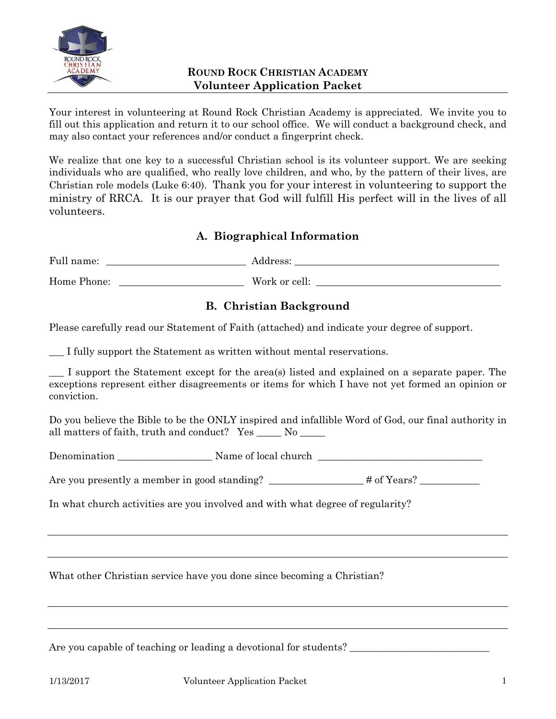

Your interest in volunteering at Round Rock Christian Academy is appreciated. We invite you to fill out this application and return it to our school office. We will conduct a background check, and may also contact your references and/or conduct a fingerprint check.

We realize that one key to a successful Christian school is its volunteer support. We are seeking individuals who are qualified, who really love children, and who, by the pattern of their lives, are Christian role models (Luke 6:40). Thank you for your interest in volunteering to support the ministry of RRCA. It is our prayer that God will fulfill His perfect will in the lives of all volunteers.

# **A. Biographical Information**

Full name: \_\_\_\_\_\_\_\_\_\_\_\_\_\_\_\_\_\_\_\_\_\_\_\_\_\_\_\_ Address: \_\_\_\_\_\_\_\_\_\_\_\_\_\_\_\_\_\_\_\_\_\_\_\_\_\_\_\_\_\_\_\_\_\_\_\_\_\_\_\_\_

Home Phone: \_\_\_\_\_\_\_\_\_\_\_\_\_\_\_\_\_\_\_\_\_\_\_\_\_ Work or cell: \_\_\_\_\_\_\_\_\_\_\_\_\_\_\_\_\_\_\_\_\_\_\_\_\_\_\_\_\_\_\_\_\_\_\_\_\_

## **B. Christian Background**

Please carefully read our Statement of Faith (attached) and indicate your degree of support.

I fully support the Statement as written without mental reservations.

\_\_\_ I support the Statement except for the area(s) listed and explained on a separate paper. The exceptions represent either disagreements or items for which I have not yet formed an opinion or conviction.

Do you believe the Bible to be the ONLY inspired and infallible Word of God, our final authority in all matters of faith, truth and conduct? Yes \_\_\_\_\_ No \_\_\_\_\_

Denomination \_\_\_\_\_\_\_\_\_\_\_\_\_\_\_\_\_\_\_ Name of local church \_\_\_\_\_\_\_\_\_\_\_\_\_\_\_\_\_\_\_\_\_\_\_\_\_\_\_\_\_\_\_\_\_

Are you presently a member in good standing? \_\_\_\_\_\_\_\_\_\_\_\_\_\_\_\_\_# of Years?

In what church activities are you involved and with what degree of regularity?

What other Christian service have you done since becoming a Christian?

Are you capable of teaching or leading a devotional for students? \_\_\_\_\_\_\_\_\_\_\_\_\_\_\_\_\_\_\_\_\_\_\_\_\_\_\_\_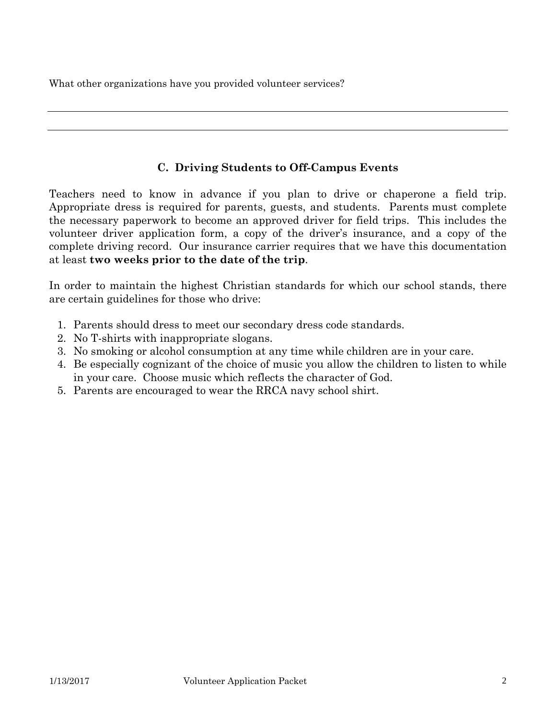What other organizations have you provided volunteer services?

### **C. Driving Students to Off-Campus Events**

Teachers need to know in advance if you plan to drive or chaperone a field trip. Appropriate dress is required for parents, guests, and students. Parents must complete the necessary paperwork to become an approved driver for field trips. This includes the volunteer driver application form, a copy of the driver's insurance, and a copy of the complete driving record. Our insurance carrier requires that we have this documentation at least **two weeks prior to the date of the trip**.

In order to maintain the highest Christian standards for which our school stands, there are certain guidelines for those who drive:

- 1. Parents should dress to meet our secondary dress code standards.
- 2. No T-shirts with inappropriate slogans.
- 3. No smoking or alcohol consumption at any time while children are in your care.
- 4. Be especially cognizant of the choice of music you allow the children to listen to while in your care. Choose music which reflects the character of God.
- 5. Parents are encouraged to wear the RRCA navy school shirt.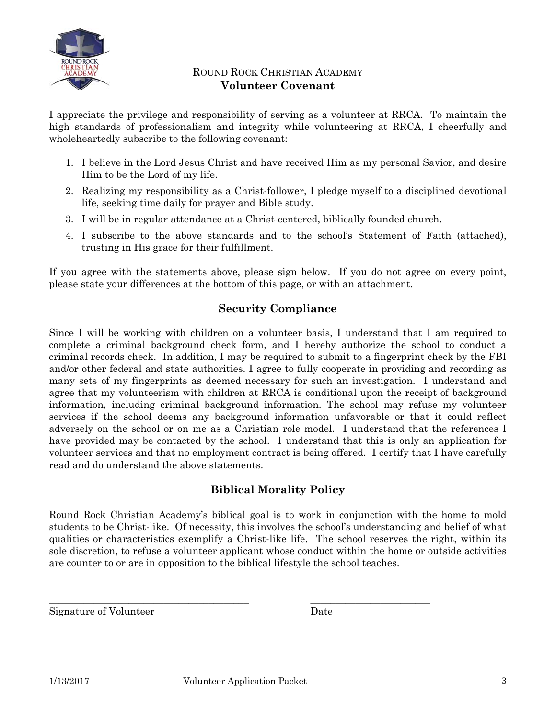

I appreciate the privilege and responsibility of serving as a volunteer at RRCA. To maintain the high standards of professionalism and integrity while volunteering at RRCA, I cheerfully and wholeheartedly subscribe to the following covenant:

- 1. I believe in the Lord Jesus Christ and have received Him as my personal Savior, and desire Him to be the Lord of my life.
- 2. Realizing my responsibility as a Christ-follower, I pledge myself to a disciplined devotional life, seeking time daily for prayer and Bible study.
- 3. I will be in regular attendance at a Christ-centered, biblically founded church.
- 4. I subscribe to the above standards and to the school's Statement of Faith (attached), trusting in His grace for their fulfillment.

If you agree with the statements above, please sign below. If you do not agree on every point, please state your differences at the bottom of this page, or with an attachment.

#### **Security Compliance**

Since I will be working with children on a volunteer basis, I understand that I am required to complete a criminal background check form, and I hereby authorize the school to conduct a criminal records check. In addition, I may be required to submit to a fingerprint check by the FBI and/or other federal and state authorities. I agree to fully cooperate in providing and recording as many sets of my fingerprints as deemed necessary for such an investigation. I understand and agree that my volunteerism with children at RRCA is conditional upon the receipt of background information, including criminal background information. The school may refuse my volunteer services if the school deems any background information unfavorable or that it could reflect adversely on the school or on me as a Christian role model. I understand that the references I have provided may be contacted by the school. I understand that this is only an application for volunteer services and that no employment contract is being offered. I certify that I have carefully read and do understand the above statements.

#### **Biblical Morality Policy**

Round Rock Christian Academy's biblical goal is to work in conjunction with the home to mold students to be Christ-like. Of necessity, this involves the school's understanding and belief of what qualities or characteristics exemplify a Christ-like life. The school reserves the right, within its sole discretion, to refuse a volunteer applicant whose conduct within the home or outside activities are counter to or are in opposition to the biblical lifestyle the school teaches.

Signature of Volunteer Date

\_\_\_\_\_\_\_\_\_\_\_\_\_\_\_\_\_\_\_\_\_\_\_\_\_\_\_\_\_\_\_\_\_\_\_\_\_\_\_\_ \_\_\_\_\_\_\_\_\_\_\_\_\_\_\_\_\_\_\_\_\_\_\_\_